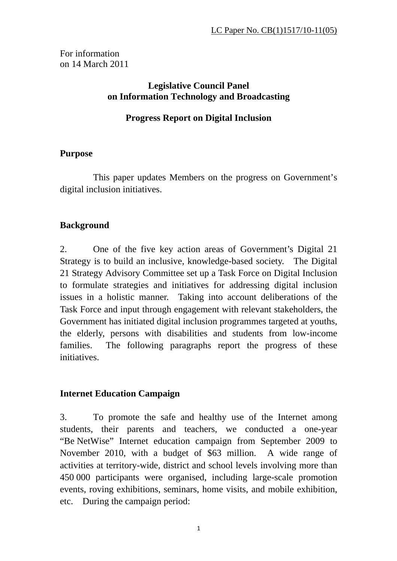For information on 14 March 2011

#### **Legislative Council Panel on Information Technology and Broadcasting**

## **Progress Report on Digital Inclusion**

### **Purpose**

 This paper updates Members on the progress on Government's digital inclusion initiatives.

# **Background**

2. One of the five key action areas of Government's Digital 21 Strategy is to build an inclusive, knowledge-based society. The Digital 21 Strategy Advisory Committee set up a Task Force on Digital Inclusion to formulate strategies and initiatives for addressing digital inclusion issues in a holistic manner. Taking into account deliberations of the Task Force and input through engagement with relevant stakeholders, the Government has initiated digital inclusion programmes targeted at youths, the elderly, persons with disabilities and students from low-income families. The following paragraphs report the progress of these initiatives.

### **Internet Education Campaign**

3. To promote the safe and healthy use of the Internet among students, their parents and teachers, we conducted a one-year "Be NetWise" Internet education campaign from September 2009 to November 2010, with a budget of \$63 million. A wide range of activities at territory-wide, district and school levels involving more than 450 000 participants were organised, including large-scale promotion events, roving exhibitions, seminars, home visits, and mobile exhibition, etc. During the campaign period: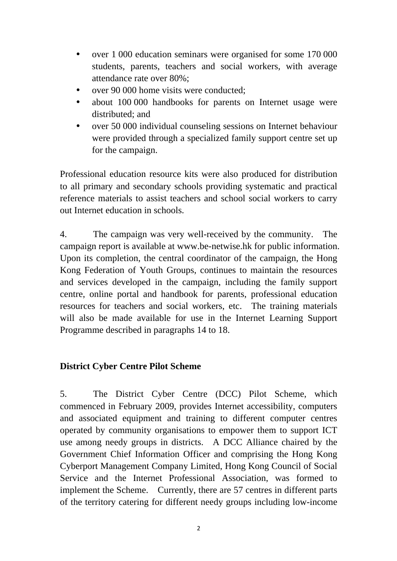- over 1 000 education seminars were organised for some 170 000 students, parents, teachers and social workers, with average attendance rate over 80%;
- over 90 000 home visits were conducted;
- about 100 000 handbooks for parents on Internet usage were distributed; and
- y over 50 000 individual counseling sessions on Internet behaviour were provided through a specialized family support centre set up for the campaign.

Professional education resource kits were also produced for distribution to all primary and secondary schools providing systematic and practical reference materials to assist teachers and school social workers to carry out Internet education in schools.

4. The campaign was very well-received by the community. The campaign report is available at www.be-netwise.hk for public information. Upon its completion, the central coordinator of the campaign, the Hong Kong Federation of Youth Groups, continues to maintain the resources and services developed in the campaign, including the family support centre, online portal and handbook for parents, professional education resources for teachers and social workers, etc. The training materials will also be made available for use in the Internet Learning Support Programme described in paragraphs 14 to 18.

### **District Cyber Centre Pilot Scheme**

5. The District Cyber Centre (DCC) Pilot Scheme, which commenced in February 2009, provides Internet accessibility, computers and associated equipment and training to different computer centres operated by community organisations to empower them to support ICT use among needy groups in districts. A DCC Alliance chaired by the Government Chief Information Officer and comprising the Hong Kong Cyberport Management Company Limited, Hong Kong Council of Social Service and the Internet Professional Association, was formed to implement the Scheme. Currently, there are 57 centres in different parts of the territory catering for different needy groups including low-income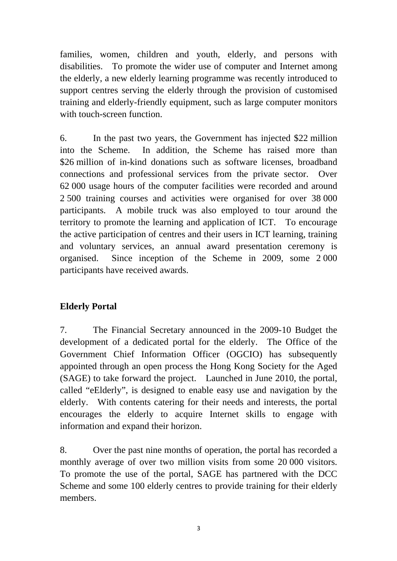families, women, children and youth, elderly, and persons with disabilities. To promote the wider use of computer and Internet among the elderly, a new elderly learning programme was recently introduced to support centres serving the elderly through the provision of customised training and elderly-friendly equipment, such as large computer monitors with touch-screen function.

6. In the past two years, the Government has injected \$22 million into the Scheme. In addition, the Scheme has raised more than \$26 million of in-kind donations such as software licenses, broadband connections and professional services from the private sector. Over 62 000 usage hours of the computer facilities were recorded and around 2 500 training courses and activities were organised for over 38 000 participants. A mobile truck was also employed to tour around the territory to promote the learning and application of ICT. To encourage the active participation of centres and their users in ICT learning, training and voluntary services, an annual award presentation ceremony is organised. Since inception of the Scheme in 2009, some 2 000 participants have received awards.

# **Elderly Portal**

7. The Financial Secretary announced in the 2009-10 Budget the development of a dedicated portal for the elderly. The Office of the Government Chief Information Officer (OGCIO) has subsequently appointed through an open process the Hong Kong Society for the Aged (SAGE) to take forward the project. Launched in June 2010, the portal, called "eElderly", is designed to enable easy use and navigation by the elderly. With contents catering for their needs and interests, the portal encourages the elderly to acquire Internet skills to engage with information and expand their horizon.

8. Over the past nine months of operation, the portal has recorded a monthly average of over two million visits from some 20 000 visitors. To promote the use of the portal, SAGE has partnered with the DCC Scheme and some 100 elderly centres to provide training for their elderly members.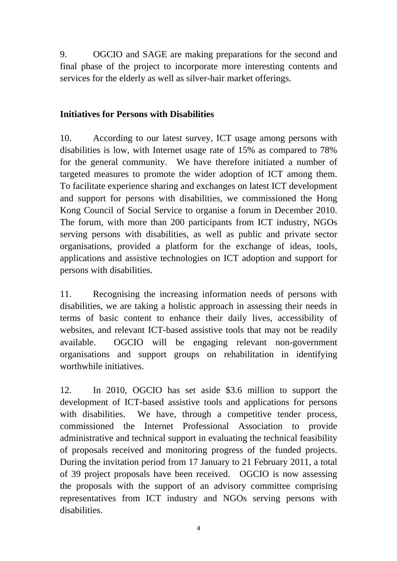9. OGCIO and SAGE are making preparations for the second and final phase of the project to incorporate more interesting contents and services for the elderly as well as silver-hair market offerings.

### **Initiatives for Persons with Disabilities**

10. According to our latest survey, ICT usage among persons with disabilities is low, with Internet usage rate of 15% as compared to 78% for the general community. We have therefore initiated a number of targeted measures to promote the wider adoption of ICT among them. To facilitate experience sharing and exchanges on latest ICT development and support for persons with disabilities, we commissioned the Hong Kong Council of Social Service to organise a forum in December 2010. The forum, with more than 200 participants from ICT industry, NGOs serving persons with disabilities, as well as public and private sector organisations, provided a platform for the exchange of ideas, tools, applications and assistive technologies on ICT adoption and support for persons with disabilities.

11. Recognising the increasing information needs of persons with disabilities, we are taking a holistic approach in assessing their needs in terms of basic content to enhance their daily lives, accessibility of websites, and relevant ICT-based assistive tools that may not be readily available. OGCIO will be engaging relevant non-government organisations and support groups on rehabilitation in identifying worthwhile initiatives.

12. In 2010, OGCIO has set aside \$3.6 million to support the development of ICT-based assistive tools and applications for persons with disabilities. We have, through a competitive tender process, commissioned the Internet Professional Association to provide administrative and technical support in evaluating the technical feasibility of proposals received and monitoring progress of the funded projects. During the invitation period from 17 January to 21 February 2011, a total of 39 project proposals have been received. OGCIO is now assessing the proposals with the support of an advisory committee comprising representatives from ICT industry and NGOs serving persons with disabilities.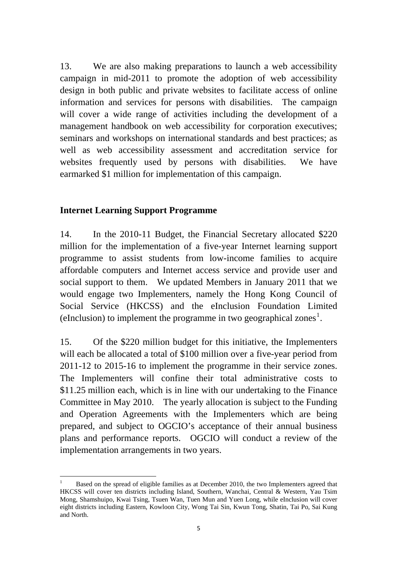13. We are also making preparations to launch a web accessibility campaign in mid-2011 to promote the adoption of web accessibility design in both public and private websites to facilitate access of online information and services for persons with disabilities. The campaign will cover a wide range of activities including the development of a management handbook on web accessibility for corporation executives; seminars and workshops on international standards and best practices; as well as web accessibility assessment and accreditation service for websites frequently used by persons with disabilities. We have earmarked \$1 million for implementation of this campaign.

#### **Internet Learning Support Programme**

14. In the 2010-11 Budget, the Financial Secretary allocated \$220 million for the implementation of a five-year Internet learning support programme to assist students from low-income families to acquire affordable computers and Internet access service and provide user and social support to them. We updated Members in January 2011 that we would engage two Implementers, namely the Hong Kong Council of Social Service (HKCSS) and the eInclusion Foundation Limited (eInclusion) to implement the programme in two geographical zones<sup>[1](#page-4-0)</sup>.

15. Of the \$220 million budget for this initiative, the Implementers will each be allocated a total of \$100 million over a five-year period from 2011-12 to 2015-16 to implement the programme in their service zones. The Implementers will confine their total administrative costs to \$11.25 million each, which is in line with our undertaking to the Finance Committee in May 2010. The yearly allocation is subject to the Funding and Operation Agreements with the Implementers which are being prepared, and subject to OGCIO's acceptance of their annual business plans and performance reports. OGCIO will conduct a review of the implementation arrangements in two years.

<span id="page-4-0"></span> 1 Based on the spread of eligible families as at December 2010, the two Implementers agreed that HKCSS will cover ten districts including Island, Southern, Wanchai, Central & Western, Yau Tsim Mong, Shamshuipo, Kwai Tsing, Tsuen Wan, Tuen Mun and Yuen Long, while eInclusion will cover eight districts including Eastern, Kowloon City, Wong Tai Sin, Kwun Tong, Shatin, Tai Po, Sai Kung and North.